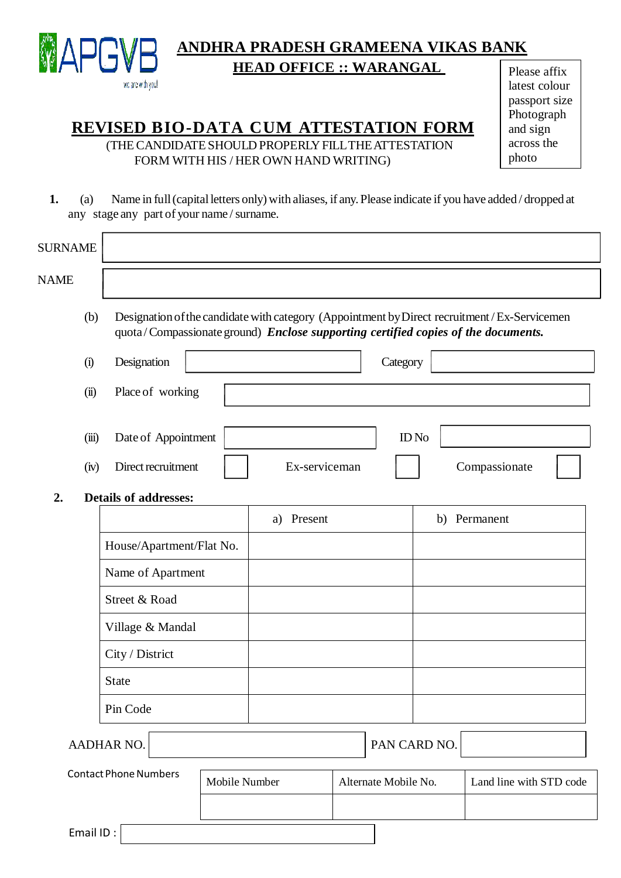

# **ANDHRA PRADESH GRAMEENA VIKAS BANK HEAD OFFICE :: WARANGAL**

## **REVISED BIO-DATA CUM ATTESTATION FORM**

(THE CANDIDATE SHOULD PROPERLY FILL THE ATTESTATION FORM WITH HIS / HER OWN HAND WRITING)

Please affix latest colour passport size Photograph and sign across the photo

**1.** (a) Name in full(capital letters only) with aliases, if any.Please indicate if you have added / dropped at any stage any part of your name / surname.

| <b>SURNAME</b>                     |       |                                                                                   |  |                      |  |                         |                                                                                             |
|------------------------------------|-------|-----------------------------------------------------------------------------------|--|----------------------|--|-------------------------|---------------------------------------------------------------------------------------------|
| <b>NAME</b>                        |       |                                                                                   |  |                      |  |                         |                                                                                             |
|                                    | (b)   | quota/Compassionate ground) Enclose supporting certified copies of the documents. |  |                      |  |                         | Designation of the candidate with category (Appointment by Direct recruitment/Ex-Servicemen |
|                                    | (i)   | Designation<br>Category                                                           |  |                      |  |                         |                                                                                             |
|                                    | (ii)  | Place of working                                                                  |  |                      |  |                         |                                                                                             |
|                                    | (iii) | Date of Appointment                                                               |  |                      |  | $ID$ No                 |                                                                                             |
|                                    | (iv)  | Direct recruitment                                                                |  | Ex-serviceman        |  |                         | Compassionate                                                                               |
| <b>Details of addresses:</b><br>2. |       |                                                                                   |  |                      |  |                         |                                                                                             |
|                                    |       |                                                                                   |  | a) Present           |  |                         | b) Permanent                                                                                |
|                                    |       | House/Apartment/Flat No.                                                          |  |                      |  |                         |                                                                                             |
|                                    |       | Name of Apartment                                                                 |  |                      |  |                         |                                                                                             |
|                                    |       | Street & Road                                                                     |  |                      |  |                         |                                                                                             |
|                                    |       | Village & Mandal                                                                  |  |                      |  |                         |                                                                                             |
|                                    |       | City / District                                                                   |  |                      |  |                         |                                                                                             |
|                                    |       | <b>State</b>                                                                      |  |                      |  |                         |                                                                                             |
|                                    |       | Pin Code                                                                          |  |                      |  |                         |                                                                                             |
| <b>AADHAR NO.</b>                  |       |                                                                                   |  | PAN CARD NO.         |  |                         |                                                                                             |
| <b>Contact Phone Numbers</b>       |       | Mobile Number                                                                     |  | Alternate Mobile No. |  | Land line with STD code |                                                                                             |
|                                    |       |                                                                                   |  |                      |  |                         |                                                                                             |

Email ID :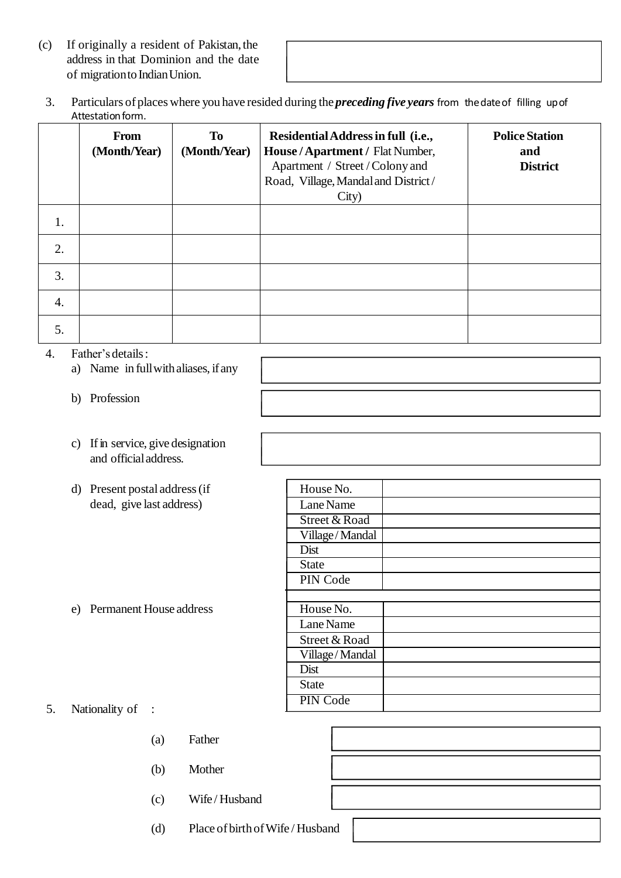- (c) If originally a resident of Pakistan,the address in that Dominion and the date of migration to Indian Union.
	- 3. Particulars of places where you have resided during the *preceding five years* from thedateof filling upof Attestation form.

|                  | <b>From</b><br>(Month/Year) | To<br>(Month/Year) | Residential Address in full (i.e.,<br>House / Apartment / Flat Number,<br>Apartment / Street / Colony and<br>Road, Village, Mandal and District/<br>City) | <b>Police Station</b><br>and<br><b>District</b> |
|------------------|-----------------------------|--------------------|-----------------------------------------------------------------------------------------------------------------------------------------------------------|-------------------------------------------------|
| 1.               |                             |                    |                                                                                                                                                           |                                                 |
| 2.               |                             |                    |                                                                                                                                                           |                                                 |
| 3.               |                             |                    |                                                                                                                                                           |                                                 |
| $\overline{4}$ . |                             |                    |                                                                                                                                                           |                                                 |
| 5.               |                             |                    |                                                                                                                                                           |                                                 |

#### 4. Father's details:

- a) Name in fullwithaliases, ifany
- b) Profession
- c) If in service, give designation and officialaddress.
- d) Present postal address(if dead, give last address)

e) Permanent House address

| House No.      |  |
|----------------|--|
| Lane Name      |  |
| Street & Road  |  |
| Village/Mandal |  |
| Dist           |  |
| State          |  |
| PIN Code       |  |
|                |  |
| House No.      |  |
| Lane Name      |  |
| Street & Road  |  |
| Village/Mandal |  |
| Dist           |  |
| <b>State</b>   |  |
| PIN Code       |  |
|                |  |

#### 5. Nationality of :

- (a) Father
- (b) Mother
- (c) Wife / Husband
- (d) Place of birthofWife / Husband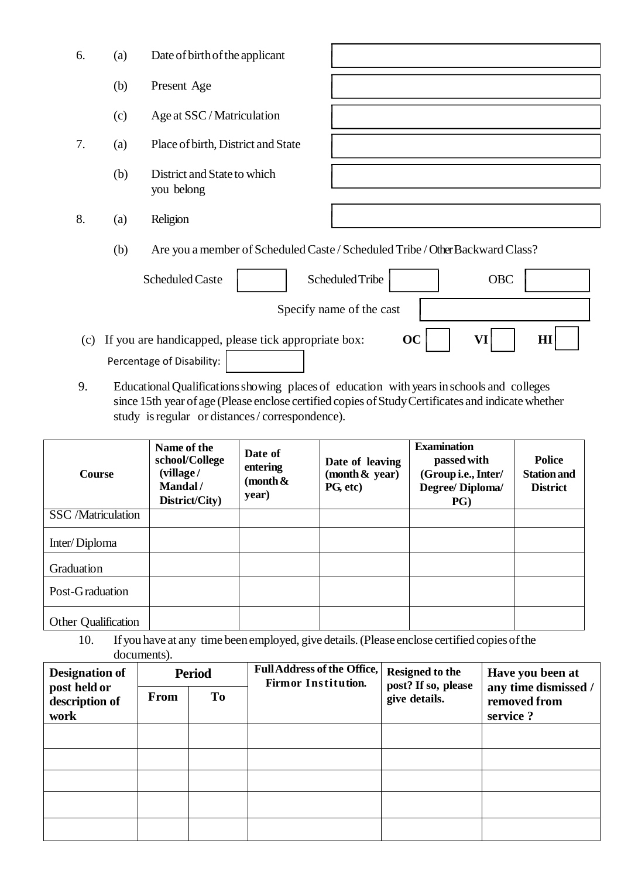| 6. | (a) | Date of birth of the applicant                                                |
|----|-----|-------------------------------------------------------------------------------|
|    | (b) | Present Age                                                                   |
|    | (c) | Age at SSC / Matriculation                                                    |
| 7. | (a) | Place of birth, District and State                                            |
|    | (b) | District and State to which<br>you belong                                     |
| 8. | (a) | Religion                                                                      |
|    | (b) | Are you a member of Scheduled Caste / Scheduled Tribe / Other Backward Class? |
|    |     | Scheduled Tribe<br><b>OBC</b><br><b>Scheduled Caste</b>                       |

Specify name of the cast

- (c) If you are handicapped, please tick appropriate box:  $\mathbf{OC}$   $\mathbf{VI}$   $\mathbf{VI}$   $\mathbf{HI}$ Percentage of Disability:
- 9. EducationalQualificationsshowing places of education with yearsinschools and colleges since 15th year of age (Please enclose certified copies of Study Certificates and indicate whether study is regular or distances/ correspondence).

| <b>Course</b>             | Name of the<br>school/College<br>(village/<br>Mandal/<br>District/City) | Date of<br>entering<br>(month &<br>year) | Date of leaving<br>(month $\&$ year)<br>PG, etc) | <b>Examination</b><br>passed with<br>(Group i.e., Inter/<br>Degree/Diploma/<br>PG | <b>Police</b><br><b>Station and</b><br><b>District</b> |
|---------------------------|-------------------------------------------------------------------------|------------------------------------------|--------------------------------------------------|-----------------------------------------------------------------------------------|--------------------------------------------------------|
| <b>SSC</b> /Matriculation |                                                                         |                                          |                                                  |                                                                                   |                                                        |
| Inter/Diploma             |                                                                         |                                          |                                                  |                                                                                   |                                                        |
| Graduation                |                                                                         |                                          |                                                  |                                                                                   |                                                        |
| Post-Graduation           |                                                                         |                                          |                                                  |                                                                                   |                                                        |
| Other Qualification       |                                                                         |                                          |                                                  |                                                                                   |                                                        |

10. If you have at any time beenemployed, give details.(Please enclose certified copies ofthe documents).

| <b>Designation of</b>                  | <b>Period</b> |    | <b>Full Address of the Office,</b><br><b>Firmor Institution.</b> | <b>Resigned to the</b><br>post? If so, please | Have you been at<br>any time dismissed / |
|----------------------------------------|---------------|----|------------------------------------------------------------------|-----------------------------------------------|------------------------------------------|
| post held or<br>description of<br>work | From          | To |                                                                  | give details.                                 | removed from<br>service?                 |
|                                        |               |    |                                                                  |                                               |                                          |
|                                        |               |    |                                                                  |                                               |                                          |
|                                        |               |    |                                                                  |                                               |                                          |
|                                        |               |    |                                                                  |                                               |                                          |
|                                        |               |    |                                                                  |                                               |                                          |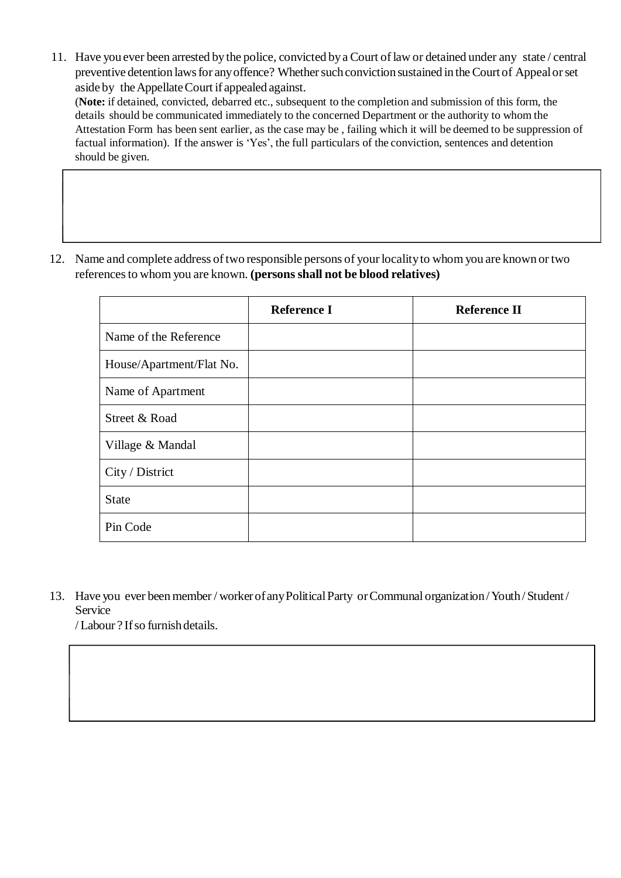11. Have you ever been arrested bythe police, convicted bya Court oflaw or detained under any state / central preventive detention laws for any offence? Whether such conviction sustained in the Court of Appeal or set aside by theAppellateCourt if appealed against.

(**Note:** if detained, convicted, debarred etc., subsequent to the completion and submission of this form, the details should be communicated immediately to the concerned Department or the authority to whom the Attestation Form has been sent earlier, as the case may be , failing which it will be deemed to be suppression of factual information). If the answer is 'Yes', the full particulars of the conviction, sentences and detention should be given.

12. Name and complete address of two responsible persons of your locality to whom you are known or two referencesto whom you are known. **(persons shall not be blood relatives)**

|                          | <b>Reference I</b> | <b>Reference II</b> |
|--------------------------|--------------------|---------------------|
| Name of the Reference    |                    |                     |
| House/Apartment/Flat No. |                    |                     |
| Name of Apartment        |                    |                     |
| Street & Road            |                    |                     |
| Village & Mandal         |                    |                     |
| City / District          |                    |                     |
| <b>State</b>             |                    |                     |
| Pin Code                 |                    |                     |

13. Have you ever been member / worker ofanyPoliticalParty orCommunal organization/Youth/ Student / Service

/ Labour ? Ifso furnishdetails.